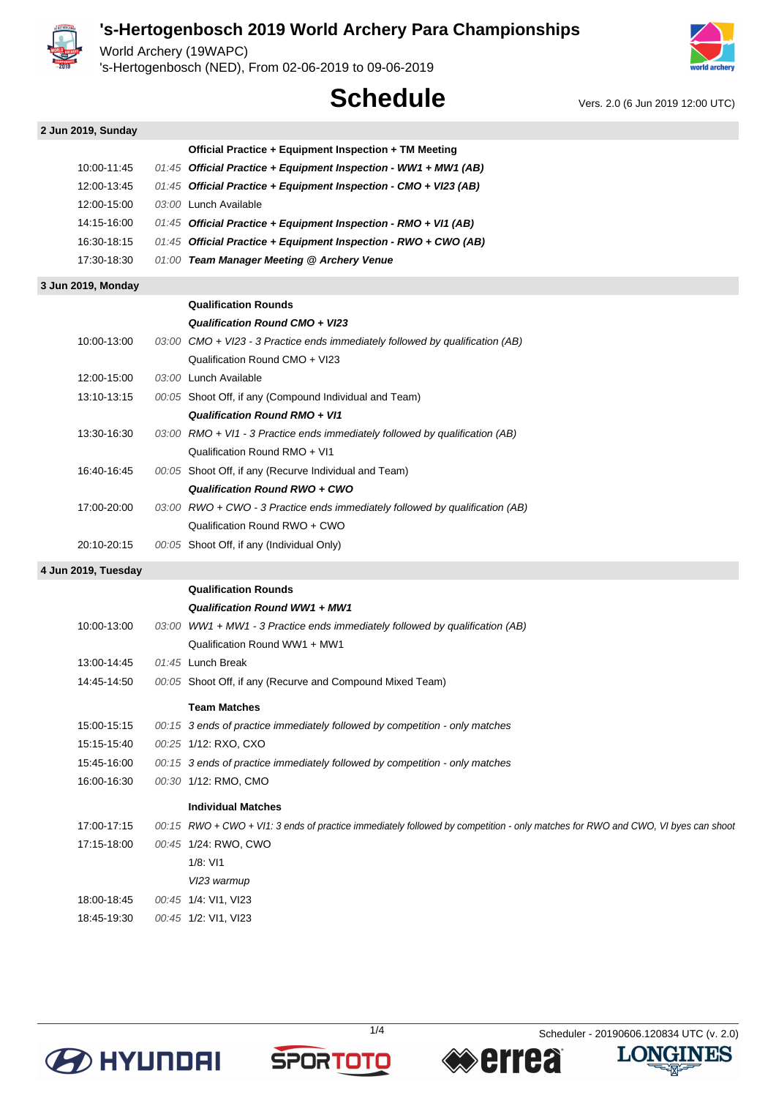

World Archery (19WAPC)

's-Hertogenbosch (NED), From 02-06-2019 to 09-06-2019



# **Schedule** Vers. 2.0 (6 Jun 2019 12:00 UTC)

| 2 Jun 2019, Sunday  |                                                                                                                                 |
|---------------------|---------------------------------------------------------------------------------------------------------------------------------|
|                     | Official Practice + Equipment Inspection + TM Meeting                                                                           |
| 10:00-11:45         | 01:45 Official Practice + Equipment Inspection - WW1 + MW1 (AB)                                                                 |
| 12:00-13:45         | 01:45 Official Practice + Equipment Inspection - CMO + VI23 (AB)                                                                |
| 12:00-15:00         | 03:00 Lunch Available                                                                                                           |
| 14:15-16:00         | 01:45 Official Practice + Equipment Inspection - RMO + VI1 (AB)                                                                 |
| 16:30-18:15         | 01:45 Official Practice + Equipment Inspection - RWO + CWO (AB)                                                                 |
| 17:30-18:30         | 01:00 Team Manager Meeting @ Archery Venue                                                                                      |
| 3 Jun 2019, Monday  |                                                                                                                                 |
|                     | <b>Qualification Rounds</b>                                                                                                     |
|                     | Qualification Round CMO + VI23                                                                                                  |
| 10:00-13:00         | 03:00 CMO + VI23 - 3 Practice ends immediately followed by qualification (AB)                                                   |
|                     | Qualification Round CMO + VI23                                                                                                  |
| 12:00-15:00         | 03:00 Lunch Available                                                                                                           |
| 13:10-13:15         | 00:05 Shoot Off, if any (Compound Individual and Team)                                                                          |
|                     | <b>Qualification Round RMO + VI1</b>                                                                                            |
| 13:30-16:30         | 03:00 RMO + VI1 - 3 Practice ends immediately followed by qualification (AB)                                                    |
|                     | Qualification Round RMO + VI1                                                                                                   |
| 16:40-16:45         | 00:05 Shoot Off, if any (Recurve Individual and Team)                                                                           |
|                     | Qualification Round RWO + CWO                                                                                                   |
| 17:00-20:00         | 03:00 RWO + CWO - 3 Practice ends immediately followed by qualification (AB)                                                    |
|                     | Qualification Round RWO + CWO                                                                                                   |
| 20:10-20:15         | 00:05 Shoot Off, if any (Individual Only)                                                                                       |
| 4 Jun 2019, Tuesday |                                                                                                                                 |
|                     | <b>Qualification Rounds</b>                                                                                                     |
|                     | <b>Qualification Round WW1 + MW1</b>                                                                                            |
| 10:00-13:00         | 03:00 WW1 + MW1 - 3 Practice ends immediately followed by qualification (AB)                                                    |
|                     | Qualification Round WW1 + MW1                                                                                                   |
| 13:00-14:45         | 01:45 Lunch Break                                                                                                               |
| 14:45-14:50         | 00:05 Shoot Off, if any (Recurve and Compound Mixed Team)                                                                       |
|                     | <b>Team Matches</b>                                                                                                             |
| 15:00-15:15         | 00:15 3 ends of practice immediately followed by competition - only matches                                                     |
| 15:15-15:40         | 00:25 1/12: RXO, CXO                                                                                                            |
| 15:45-16:00         | 00:15 3 ends of practice immediately followed by competition - only matches                                                     |
| 16:00-16:30         | 00:30 1/12: RMO, CMO                                                                                                            |
|                     | <b>Individual Matches</b>                                                                                                       |
| 17:00-17:15         | 00:15 RWO + CWO + VI1: 3 ends of practice immediately followed by competition - only matches for RWO and CWO, VI byes can shoot |
| 17:15-18:00         | 00:45 1/24: RWO, CWO                                                                                                            |
|                     | 1/8: V11                                                                                                                        |
|                     | VI23 warmup                                                                                                                     |
| 18:00-18:45         | 00:45 1/4: VI1, VI23                                                                                                            |
| 18:45-19:30         | 00:45 1/2: VI1, VI23                                                                                                            |







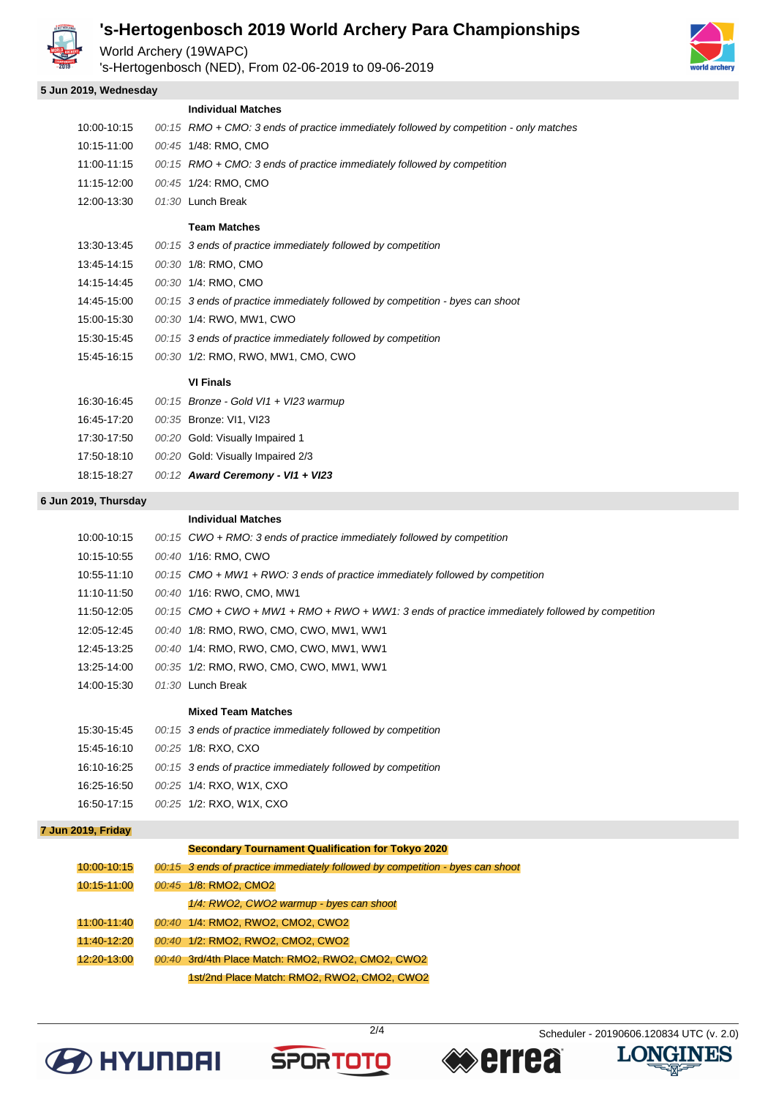

World Archery (19WAPC)

's-Hertogenbosch (NED), From 02-06-2019 to 09-06-2019

#### **5 Jun 2019, Wednesday**

|             | <b>Individual Matches</b>                                                                |
|-------------|------------------------------------------------------------------------------------------|
| 10:00-10:15 | $00:15$ RMO + CMO: 3 ends of practice immediately followed by competition - only matches |
| 10:15-11:00 | 00:45 1/48: RMO, CMO                                                                     |
| 11:00-11:15 | $00:15$ RMO + CMO: 3 ends of practice immediately followed by competition                |
| 11:15-12:00 | 00:45 1/24: RMO, CMO                                                                     |
| 12:00-13:30 | $01:30$ Lunch Break                                                                      |
|             | <b>Team Matches</b>                                                                      |
| 13:30-13:45 | 00:15 3 ends of practice immediately followed by competition                             |
| 13:45-14:15 | 00:30 1/8: RMO, CMO                                                                      |

14:15-14:45 00:30 1/4: RMO, CMO

- 14:45-15:00 00:15 3 ends of practice immediately followed by competition byes can shoot
- 15:00-15:30 00:30 1/4: RWO, MW1, CWO
- 15:30-15:45 00:15 3 ends of practice immediately followed by competition
- 15:45-16:15 00:30 1/2: RMO, RWO, MW1, CMO, CWO

#### **VI Finals**

| 16:30-16:45 | 00:15 Bronze - Gold VI1 + VI23 warmup |
|-------------|---------------------------------------|
| 16:45-17:20 | 00:35 Bronze: VI1, VI23               |
| 17:30-17:50 | 00:20 Gold: Visually Impaired 1       |
| 17:50-18:10 | 00:20 Gold: Visually Impaired 2/3     |
| 18:15-18:27 | 00:12 Award Ceremony - VI1 + VI23     |

#### **6 Jun 2019, Thursday**

|             | <b>Individual Matches</b>                                                                       |
|-------------|-------------------------------------------------------------------------------------------------|
| 10:00-10:15 | $00:15$ CWO + RMO: 3 ends of practice immediately followed by competition                       |
| 10:15-10:55 | 00:40 1/16: RMO, CWO                                                                            |
| 10:55-11:10 | $00:15$ CMO + MW1 + RWO: 3 ends of practice immediately followed by competition                 |
| 11:10-11:50 | 00:40 1/16: RWO, CMO, MW1                                                                       |
| 11:50-12:05 | 00:15 CMO + CWO + MW1 + RMO + RWO + WW1: 3 ends of practice immediately followed by competition |
| 12:05-12:45 | 00:40 1/8: RMO, RWO, CMO, CWO, MW1, WW1                                                         |
| 12:45-13:25 | 00:40 1/4: RMO, RWO, CMO, CWO, MW1, WW1                                                         |
| 13:25-14:00 | 00:35 1/2: RMO, RWO, CMO, CWO, MW1, WW1                                                         |
| 14:00-15:30 | 01:30 Lunch Break                                                                               |
|             | <b>Mixed Team Matches</b>                                                                       |
| 15:30-15:45 | 00:15 3 ends of practice immediately followed by competition                                    |
| 15:45-16:10 | 00:25 1/8: RXO, CXO                                                                             |
| 16:10-16:25 | 00:15 3 ends of practice immediately followed by competition                                    |
| 16:25-16:50 | 00:25 1/4: RXO, W1X, CXO                                                                        |
| 16:50-17:15 | 00:25 1/2: RXO, W1X, CXO                                                                        |
|             |                                                                                                 |

#### **7 Jun 2019, Friday**

| <b>Secondary Tournament Qualification for Tokyo 2020</b> |                                                                               |  |  |  |
|----------------------------------------------------------|-------------------------------------------------------------------------------|--|--|--|
| 10:00-10:15                                              | 00:15 3 ends of practice immediately followed by competition - byes can shoot |  |  |  |
| 10:15-11:00                                              | 00:45 1/8: RMO2, CMO2                                                         |  |  |  |
|                                                          | 1/4: RWO2, CWO2 warmup - byes can shoot                                       |  |  |  |
| 11:00-11:40                                              | 00:40 1/4: RMO2, RWO2, CMO2, CWO2                                             |  |  |  |
| 11:40-12:20                                              | 00:40 1/2: RMO2, RWO2, CMO2, CWO2                                             |  |  |  |
| 12:20-13:00                                              | 00:40 3rd/4th Place Match: RMO2, RWO2, CMO2, CWO2                             |  |  |  |
|                                                          | 1st/2nd Place Match: RMO2, RWO2, CMO2, CWO2                                   |  |  |  |









**LONGINES** 

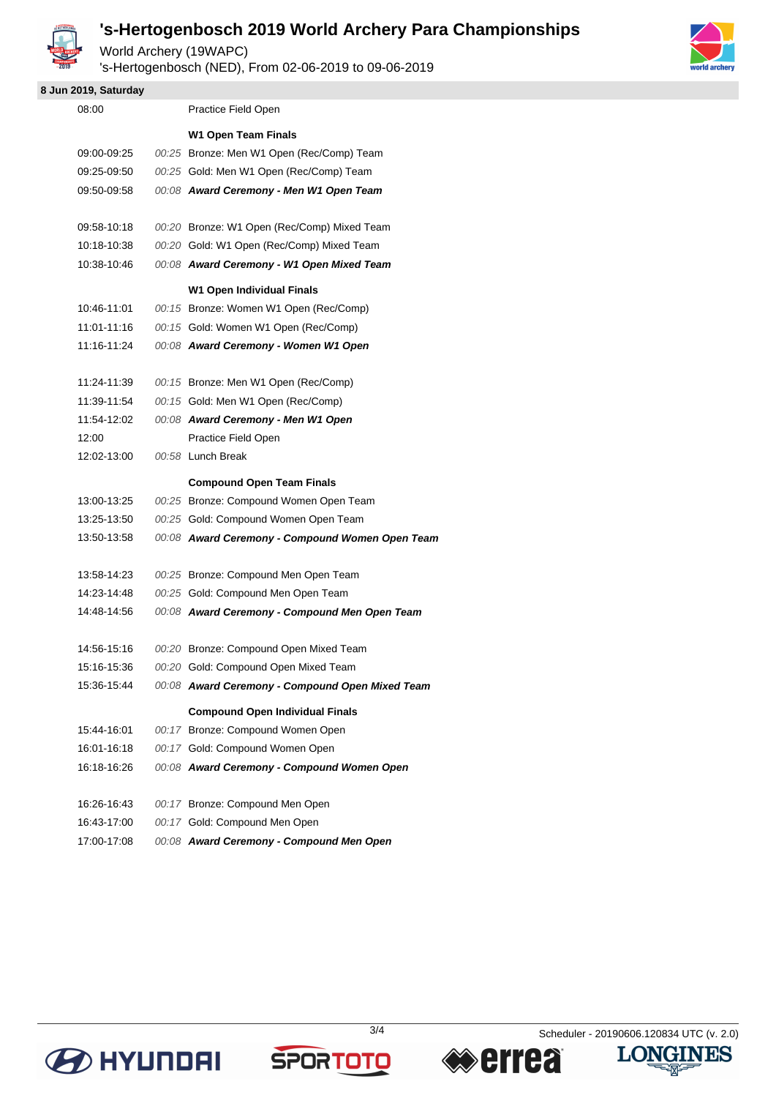

World Archery (19WAPC)

's-Hertogenbosch (NED), From 02-06-2019 to 09-06-2019

### **8 Jun 2019, Saturday**

| 08:00       | Practice Field Open                             |
|-------------|-------------------------------------------------|
|             | <b>W1 Open Team Finals</b>                      |
| 09:00-09:25 | 00:25 Bronze: Men W1 Open (Rec/Comp) Team       |
| 09:25-09:50 | 00:25 Gold: Men W1 Open (Rec/Comp) Team         |
| 09:50-09:58 | 00:08 Award Ceremony - Men W1 Open Team         |
| 09:58-10:18 | 00:20 Bronze: W1 Open (Rec/Comp) Mixed Team     |
| 10:18-10:38 | 00:20 Gold: W1 Open (Rec/Comp) Mixed Team       |
| 10:38-10:46 | 00:08 Award Ceremony - W1 Open Mixed Team       |
|             | W1 Open Individual Finals                       |
| 10:46-11:01 | 00:15 Bronze: Women W1 Open (Rec/Comp)          |
| 11:01-11:16 | 00:15 Gold: Women W1 Open (Rec/Comp)            |
| 11:16-11:24 | 00:08 Award Ceremony - Women W1 Open            |
| 11:24-11:39 | 00:15 Bronze: Men W1 Open (Rec/Comp)            |
| 11:39-11:54 | 00:15 Gold: Men W1 Open (Rec/Comp)              |
| 11:54-12:02 | 00:08 Award Ceremony - Men W1 Open              |
| 12:00       | Practice Field Open                             |
| 12:02-13:00 | 00:58 Lunch Break                               |
|             | <b>Compound Open Team Finals</b>                |
| 13:00-13:25 | 00:25 Bronze: Compound Women Open Team          |
| 13:25-13:50 | 00:25 Gold: Compound Women Open Team            |
| 13:50-13:58 | 00:08 Award Ceremony - Compound Women Open Team |
| 13:58-14:23 | 00:25 Bronze: Compound Men Open Team            |
| 14:23-14:48 | 00:25 Gold: Compound Men Open Team              |
| 14:48-14:56 | 00:08 Award Ceremony - Compound Men Open Team   |
| 14:56-15:16 | 00:20 Bronze: Compound Open Mixed Team          |
| 15:16-15:36 | 00:20 Gold: Compound Open Mixed Team            |
| 15:36-15:44 | 00:08 Award Ceremony - Compound Open Mixed Team |
|             | <b>Compound Open Individual Finals</b>          |
| 15:44-16:01 | 00:17 Bronze: Compound Women Open               |
| 16:01-16:18 | 00:17 Gold: Compound Women Open                 |
| 16:18-16:26 | 00:08 Award Ceremony - Compound Women Open      |
| 16:26-16:43 | 00:17 Bronze: Compound Men Open                 |
| 16:43-17:00 | 00:17 Gold: Compound Men Open                   |
| 17:00-17:08 | 00:08 Award Ceremony - Compound Men Open        |
|             |                                                 |









幽运